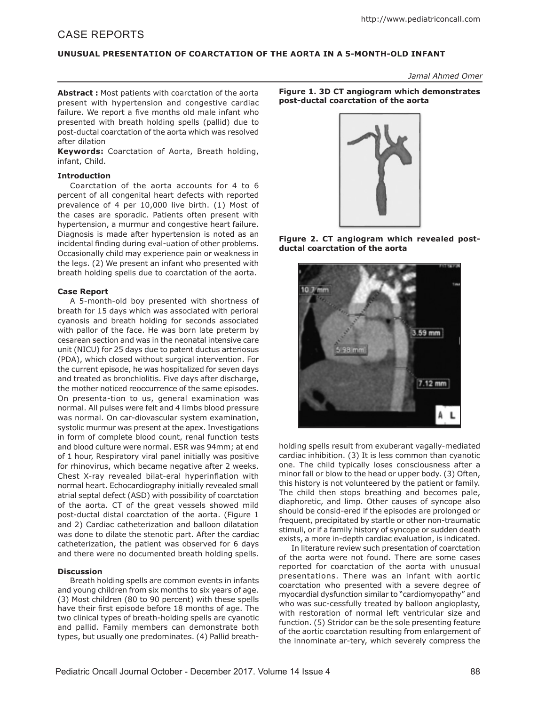# CASE REPORTS

# **UNUSUAL PRESENTATION OF COARCTATION OF THE AORTA IN A 5-MONTH-OLD INFANT**

*Jamal Ahmed Omer*

**Abstract :** Most patients with coarctation of the aorta present with hypertension and congestive cardiac failure. We report a five months old male infant who presented with breath holding spells (pallid) due to post-ductal coarctation of the aorta which was resolved after dilation

**Keywords:** Coarctation of Aorta, Breath holding, infant, Child.

### **Introduction**

Coarctation of the aorta accounts for 4 to 6 percent of all congenital heart defects with reported prevalence of 4 per 10,000 live birth. (1) Most of the cases are sporadic. Patients often present with hypertension, a murmur and congestive heart failure. Diagnosis is made after hypertension is noted as an incidental finding during eval-uation of other problems. Occasionally child may experience pain or weakness in the legs. (2) We present an infant who presented with breath holding spells due to coarctation of the aorta.

# **Case Report**

A 5-month-old boy presented with shortness of breath for 15 days which was associated with perioral cyanosis and breath holding for seconds associated with pallor of the face. He was born late preterm by cesarean section and was in the neonatal intensive care unit (NICU) for 25 days due to patent ductus arteriosus (PDA), which closed without surgical intervention. For the current episode, he was hospitalized for seven days and treated as bronchiolitis. Five days after discharge, the mother noticed reoccurrence of the same episodes. On presenta-tion to us, general examination was normal. All pulses were felt and 4 limbs blood pressure was normal. On car-diovascular system examination, systolic murmur was present at the apex. Investigations in form of complete blood count, renal function tests and blood culture were normal. ESR was 94mm; at end of 1 hour, Respiratory viral panel initially was positive for rhinovirus, which became negative after 2 weeks. Chest X-ray revealed bilat-eral hyperinflation with normal heart. Echocardiography initially revealed small atrial septal defect (ASD) with possibility of coarctation of the aorta. CT of the great vessels showed mild post-ductal distal coarctation of the aorta. (Figure 1 and 2) Cardiac catheterization and balloon dilatation was done to dilate the stenotic part. After the cardiac catheterization, the patient was observed for 6 days and there were no documented breath holding spells.

# **Discussion**

Breath holding spells are common events in infants and young children from six months to six years of age. (3) Most children (80 to 90 percent) with these spells have their first episode before 18 months of age. The two clinical types of breath-holding spells are cyanotic and pallid. Family members can demonstrate both types, but usually one predominates. (4) Pallid breath**Figure 1. 3D CT angiogram which demonstrates post-ductal coarctation of the aorta**



**Figure 2. CT angiogram which revealed postductal coarctation of the aorta**



holding spells result from exuberant vagally-mediated cardiac inhibition. (3) It is less common than cyanotic one. The child typically loses consciousness after a minor fall or blow to the head or upper body. (3) Often, this history is not volunteered by the patient or family. The child then stops breathing and becomes pale, diaphoretic, and limp. Other causes of syncope also should be consid-ered if the episodes are prolonged or frequent, precipitated by startle or other non-traumatic stimuli, or if a family history of syncope or sudden death exists, a more in-depth cardiac evaluation, is indicated.

In literature review such presentation of coarctation of the aorta were not found. There are some cases reported for coarctation of the aorta with unusual presentations. There was an infant with aortic coarctation who presented with a severe degree of myocardial dysfunction similar to "cardiomyopathy" and who was suc-cessfully treated by balloon angioplasty, with restoration of normal left ventricular size and function. (5) Stridor can be the sole presenting feature of the aortic coarctation resulting from enlargement of the innominate ar-tery, which severely compress the